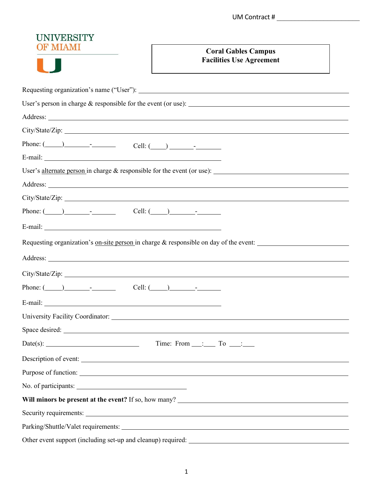| <b>UNIVERSITY</b>                                                                                                                                                                                                                                                                                                                                                              |                                                                                                                 |
|--------------------------------------------------------------------------------------------------------------------------------------------------------------------------------------------------------------------------------------------------------------------------------------------------------------------------------------------------------------------------------|-----------------------------------------------------------------------------------------------------------------|
| F MIAMI                                                                                                                                                                                                                                                                                                                                                                        | <b>Coral Gables Campus</b>                                                                                      |
|                                                                                                                                                                                                                                                                                                                                                                                | <b>Facilities Use Agreement</b>                                                                                 |
|                                                                                                                                                                                                                                                                                                                                                                                |                                                                                                                 |
|                                                                                                                                                                                                                                                                                                                                                                                |                                                                                                                 |
|                                                                                                                                                                                                                                                                                                                                                                                |                                                                                                                 |
|                                                                                                                                                                                                                                                                                                                                                                                |                                                                                                                 |
|                                                                                                                                                                                                                                                                                                                                                                                |                                                                                                                 |
| Phone: $(\_\_\_\_\_\_\_$ Cell: $(\_\_\_\_\_\_\_\_$                                                                                                                                                                                                                                                                                                                             |                                                                                                                 |
|                                                                                                                                                                                                                                                                                                                                                                                |                                                                                                                 |
|                                                                                                                                                                                                                                                                                                                                                                                | User's alternate person in charge $\&$ responsible for the event (or use): $\_\_$                               |
|                                                                                                                                                                                                                                                                                                                                                                                |                                                                                                                 |
|                                                                                                                                                                                                                                                                                                                                                                                |                                                                                                                 |
| Phone: $\begin{array}{ccc} \hline \end{array}$ $\begin{array}{ccc} \hline \end{array}$ $\begin{array}{ccc} \hline \end{array}$ $\begin{array}{ccc} \hline \end{array}$ $\begin{array}{ccc} \hline \end{array}$ $\begin{array}{ccc} \hline \end{array}$ $\begin{array}{ccc} \hline \end{array}$ $\begin{array}{ccc} \hline \end{array}$ $\begin{array}{ccc} \hline \end{array}$ |                                                                                                                 |
|                                                                                                                                                                                                                                                                                                                                                                                |                                                                                                                 |
|                                                                                                                                                                                                                                                                                                                                                                                | Requesting organization's <u>on-site person</u> in charge $\&$ responsible on day of the event:                 |
|                                                                                                                                                                                                                                                                                                                                                                                |                                                                                                                 |
|                                                                                                                                                                                                                                                                                                                                                                                |                                                                                                                 |
| Phone: $(\_\_\_\_\_\_$ $\_\_\_$ $\_\_$ $\_\_$ $\_\_$ $\_\_$ $\_\_$ $\_\_$ $\_\_$ $\_\_$ $\_\_$ $\_\_$ $\_\_$ $\_\_$ $\_\_$ $\_\_$ $\_\_$ $\_\_$ $\_\_$ $\_\_$ $\_\_$ $\_\_$ $\_\_$ $\_\_$ $\_\_$ $\_\_$ $\_\_$ $\_\_$ $\_\_$ $\_\_$ $\_\_$ $\_\_$ $\_\_$ $\_\_$ $\_\_$                                                                                                         |                                                                                                                 |
| E-mail: No. 1996. The contract of the contract of the contract of the contract of the contract of the contract of the contract of the contract of the contract of the contract of the contract of the contract of the contract                                                                                                                                                 |                                                                                                                 |
|                                                                                                                                                                                                                                                                                                                                                                                |                                                                                                                 |
|                                                                                                                                                                                                                                                                                                                                                                                |                                                                                                                 |
| Date(s): $\qquad \qquad \text{Time: From } \qquad \qquad \text{To } \qquad \qquad$                                                                                                                                                                                                                                                                                             |                                                                                                                 |
| Description of event:                                                                                                                                                                                                                                                                                                                                                          |                                                                                                                 |
|                                                                                                                                                                                                                                                                                                                                                                                |                                                                                                                 |
|                                                                                                                                                                                                                                                                                                                                                                                |                                                                                                                 |
|                                                                                                                                                                                                                                                                                                                                                                                |                                                                                                                 |
|                                                                                                                                                                                                                                                                                                                                                                                | Security requirements: 1000 million and 1000 million and 1000 million and 1000 million and 1000 million and 100 |
|                                                                                                                                                                                                                                                                                                                                                                                |                                                                                                                 |
|                                                                                                                                                                                                                                                                                                                                                                                |                                                                                                                 |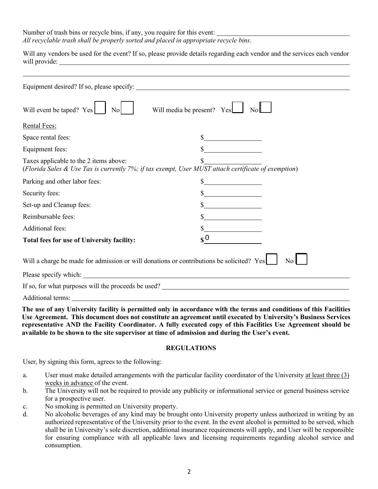Number of trash bins or recycle bins, if any, you require for this event:  *All recyclable trash shall be properly sorted and placed in appropriate recycle bins.* 

Will any vendors be used for the event? If so, please provide details regarding each vendor and the services each vendor will provide:

| Equipment desired? If so, please specify:                                                                                                     | <u> 1989 - Johann Barbara, martxa al III-lea (h. 1989).</u> |
|-----------------------------------------------------------------------------------------------------------------------------------------------|-------------------------------------------------------------|
| Will event be taped? Yes<br>$\text{No}$                                                                                                       | Will media be present? Yes<br>No                            |
| <b>Rental Fees:</b>                                                                                                                           |                                                             |
| Space rental fees:                                                                                                                            |                                                             |
| Equipment fees:                                                                                                                               |                                                             |
| Taxes applicable to the 2 items above:<br>(Florida Sales & Use Tax is currently 7%; if tax exempt, User MUST attach certificate of exemption) |                                                             |
| Parking and other labor fees:                                                                                                                 |                                                             |
| Security fees:                                                                                                                                |                                                             |
| Set-up and Cleanup fees:                                                                                                                      |                                                             |
| Reimbursable fees:                                                                                                                            |                                                             |
| Additional fees:                                                                                                                              |                                                             |
| Total fees for use of University facility:                                                                                                    | $\boldsymbol{\mathsf{s}}^{\,0}$                             |
| Will a charge be made for admission or will donations or contributions be solicited? Yes                                                      | N <sub>o</sub>                                              |
|                                                                                                                                               |                                                             |
| If so, for what purposes will the proceeds be used?                                                                                           |                                                             |
| $\Delta$ defined towards                                                                                                                      |                                                             |

Additional terms:

**The use of any University facility is permitted only in accordance with the terms and conditions of this Facilities Use Agreement. This document does not constitute an agreement until executed by University's Business Services representative AND the Facility Coordinator. A fully executed copy of this Facilities Use Agreement should be available to be shown to the site supervisor at time of admission and during the User's event.** 

## **REGULATIONS**

User, by signing this form, agrees to the following:

- a. User must make detailed arrangements with the particular facility coordinator of the University at least three (3) weeks in advance of the event.
- b. The University will not be required to provide any publicity or informational service or general business service for a prospective user.
- c. No smoking is permitted on University property.
- d. No alcoholic beverages of any kind may be brought onto University property unless authorized in writing by an authorized representative of the University prior to the event. In the event alcohol is permitted to be served, which shall be in University's sole discretion, additional insurance requirements will apply, and User will be responsible for ensuring compliance with all applicable laws and licensing requirements regarding alcohol service and consumption.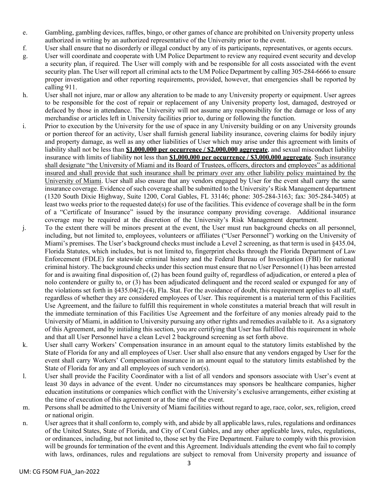- e. Gambling, gambling devices, raffles, bingo, or other games of chance are prohibited on University property unless authorized in writing by an authorized representative of the University prior to the event.
- f. User shall ensure that no disorderly or illegal conduct by any of its participants, representatives, or agents occurs.
- g. User will coordinate and cooperate with UM Police Department to review any required event security and develop a security plan, if required. The User will comply with and be responsible for all costs associated with the event security plan. The User will report all criminal acts to the UM Police Department by calling 305-284-6666 to ensure proper investigation and other reporting requirements, provided, however, that emergencies shall be reported by calling 911.
- h. User shall not injure, mar or allow any alteration to be made to any University property or equipment. User agrees to be responsible for the cost of repair or replacement of any University property lost, damaged, destroyed or defaced by those in attendance. The University will not assume any responsibility for the damage or loss of any merchandise or articles left in University facilities prior to, during or following the function.
- i. Prior to execution by the University for the use of space in any University building or on any University grounds or portion thereof for an activity, User shall furnish general liability insurance, covering claims for bodily injury and property damage, as well as any other liabilities of User which may arise under this agreement with limits of liability shall not be less than **\$1,000,000 per occurrence / \$2,000,000 aggregate**, and sexual misconduct liability insurance with limits of liability not less than **\$1,000,000 per occurrence / \$3,000,000 aggregate**. Such insurance shall designate "the University of Miami and its Board of Trustees, officers, directors and employees" as additional insured and shall provide that such insurance shall be primary over any other liability policy maintained by the University of Miami. User shall also ensure that any vendors engaged by User for the event shall carry the same insurance coverage. Evidence of such coverage shall be submitted to the University's Risk Management department (1320 South Dixie Highway, Suite 1200, Coral Gables, FL 33146; phone: 305-284-3163; fax: 305-284-3405) at least two weeks prior to the requested date(s) for use of the facilities. This evidence of coverage shall be in the form of a "Certificate of Insurance" issued by the insurance company providing coverage. Additional insurance coverage may be required at the discretion of the University's Risk Management department.
- j. To the extent there will be minors present at the event, the User must run background checks on all personnel, including, but not limited to, employees, volunteers or affiliates ("User Personnel") working on the University of Miami's premises. The User's background checks must include a Level 2 screening, as that term is used in §435.04, Florida Statutes, which includes, but is not limited to, fingerprint checks through the Florida Department of Law Enforcement (FDLE) for statewide criminal history and the Federal Bureau of Investigation (FBI) for national criminal history. The background checks under this section must ensure that no User Personnel (1) has been arrested for and is awaiting final disposition of, (2) has been found guilty of, regardless of adjudication, or entered a plea of nolo contendere or guilty to, or (3) has been adjudicated delinquent and the record sealed or expunged for any of the violations set forth in §435.04(2)-(4), Fla. Stat. For the avoidance of doubt, this requirement applies to all staff, regardless of whether they are considered employees of User. This requirement is a material term of this Facilities Use Agreement, and the failure to fulfill this requirement in whole constitutes a material breach that will result in the immediate termination of this Facilities Use Agreement and the forfeiture of any monies already paid to the University of Miami, in addition to University pursuing any other rights and remedies available to it. As a signatory of this Agreement, and by initialing this section, you are certifying that User has fulfilled this requirement in whole and that all User Personnel have a clean Level 2 background screening as set forth above.
- k. User shall carry Workers' Compensation insurance in an amount equal to the statutory limits established by the State of Florida for any and all employees of User. User shall also ensure that any vendors engaged by User for the event shall carry Workers' Compensation insurance in an amount equal to the statutory limits established by the State of Florida for any and all employees of such vendor(s).
- l. User shall provide the Facility Coordinator with a list of all vendors and sponsors associate with User's event at least 30 days in advance of the event. Under no circumstances may sponsors be healthcare companies, higher education institutions or companies which conflict with the University's exclusive arrangements, either existing at the time of execution of this agreement or at the time of the event.
- m. Persons shall be admitted to the University of Miami facilities without regard to age, race, color, sex, religion, creed or national origin.
- n. User agrees that it shall conform to, comply with, and abide by all applicable laws, rules, regulations and ordinances of the United States, State of Florida, and City of Coral Gables, and any other applicable laws, rules, regulations, or ordinances, including, but not limited to, those set by the Fire Department. Failure to comply with this provision will be grounds for termination of the event and this Agreement. Individuals attending the event who fail to comply with laws, ordinances, rules and regulations are subject to removal from University property and issuance of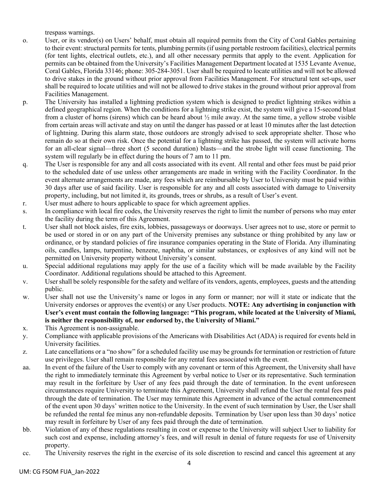trespass warnings.

- o. User, or its vendor(s) on Users' behalf, must obtain all required permits from the City of Coral Gables pertaining to their event: structural permits for tents, plumbing permits (if using portable restroom facilities), electrical permits (for tent lights, electrical outlets, etc.), and all other necessary permits that apply to the event. Application for permits can be obtained from the University's Facilities Management Department located at 1535 Levante Avenue, Coral Gables, Florida 33146; phone: 305-284-3051. User shall be required to locate utilities and will not be allowed to drive stakes in the ground without prior approval from Facilities Management. For structural tent set-ups, user shall be required to locate utilities and will not be allowed to drive stakes in the ground without prior approval from Facilities Management.
- p. The University has installed a lightning prediction system which is designed to predict lightning strikes within a defined geographical region. When the conditions for a lightning strike exist, the system will give a 15-second blast from a cluster of horns (sirens) which can be heard about ½ mile away. At the same time, a yellow strobe visible from certain areas will activate and stay on until the danger has passed or at least 10 minutes after the last detection of lightning. During this alarm state, those outdoors are strongly advised to seek appropriate shelter. Those who remain do so at their own risk. Once the potential for a lightning strike has passed, the system will activate horns for an all-clear signal—three short (5 second duration) blasts—and the strobe light will cease functioning. The system will regularly be in effect during the hours of 7 am to 11 pm.
- q. The User is responsible for any and all costs associated with its event. All rental and other fees must be paid prior to the scheduled date of use unless other arrangements are made in writing with the Facility Coordinator. In the event alternate arrangements are made, any fees which are reimbursable by User to University must be paid within 30 days after use of said facility. User is responsible for any and all costs associated with damage to University property, including, but not limited it, its grounds, trees or shrubs, as a result of User's event.
- r. User must adhere to hours applicable to space for which agreement applies.
- s. In compliance with local fire codes, the University reserves the right to limit the number of persons who may enter the facility during the term of this Agreement.
- t. User shall not block aisles, fire exits, lobbies, passageways or doorways. User agrees not to use, store or permit to be used or stored in or on any part of the University premises any substance or thing prohibited by any law or ordinance, or by standard policies of fire insurance companies operating in the State of Florida. Any illuminating oils, candles, lamps, turpentine, benzene, naphtha, or similar substances, or explosives of any kind will not be permitted on University property without University's consent.
- u. Special additional regulations may apply for the use of a facility which will be made available by the Facility Coordinator. Additional regulations should be attached to this Agreement.
- v. User shall be solely responsible for the safety and welfare of its vendors, agents, employees, guests and the attending public.
- w. User shall not use the University's name or logos in any form or manner; nor will it state or indicate that the University endorses or approves the event(s) or any User products. **NOTE: Any advertising in conjunction with User's event must contain the following language: "This program, while located at the University of Miami, is neither the responsibility of, nor endorsed by, the University of Miami."**
- x. This Agreement is non-assignable.
- y. Compliance with applicable provisions of the Americans with Disabilities Act (ADA) is required for events held in University facilities.
- z. Late cancellations or a "no show" for a scheduled facility use may be grounds for termination or restriction of future use privileges. User shall remain responsible for any rental fees associated with the event.
- aa. In event of the failure of the User to comply with any covenant or term of this Agreement, the University shall have the right to immediately terminate this Agreement by verbal notice to User or its representative. Such termination may result in the forfeiture by User of any fees paid through the date of termination. In the event unforeseen circumstances require University to terminate this Agreement, University shall refund the User the rental fees paid through the date of termination. The User may terminate this Agreement in advance of the actual commencement of the event upon 30 days' written notice to the University. In the event of such termination by User, the User shall be refunded the rental fee minus any non-refundable deposits. Termination by User upon less than 30 days' notice may result in forfeiture by User of any fees paid through the date of termination.
- bb. Violation of any of these regulations resulting in cost or expense to the University will subject User to liability for such cost and expense, including attorney's fees, and will result in denial of future requests for use of University property.
- cc. The University reserves the right in the exercise of its sole discretion to rescind and cancel this agreement at any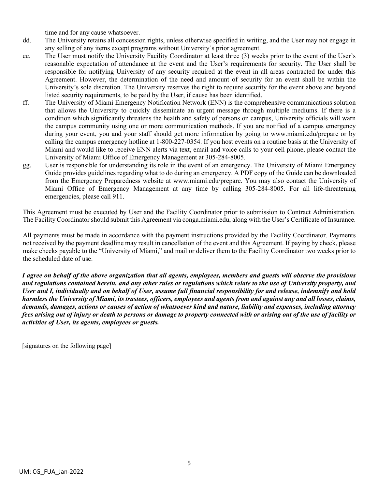time and for any cause whatsoever.

- dd. The University retains all concession rights, unless otherwise specified in writing, and the User may not engage in any selling of any items except programs without University's prior agreement.
- ee. The User must notify the University Facility Coordinator at least three (3) weeks prior to the event of the User's reasonable expectation of attendance at the event and the User's requirements for security. The User shall be responsible for notifying University of any security required at the event in all areas contracted for under this Agreement. However, the determination of the need and amount of security for an event shall be within the University's sole discretion. The University reserves the right to require security for the event above and beyond listed security requirements, to be paid by the User, if cause has been identified.
- ff. The University of Miami Emergency Notification Network (ENN) is the comprehensive communications solution that allows the University to quickly disseminate an urgent message through multiple mediums. If there is a condition which significantly threatens the health and safety of persons on campus, University officials will warn the campus community using one or more communication methods. If you are notified of a campus emergency during your event, you and your staff should get more information by going to [www.miami.edu/prepare o](http://www.miami.edu/prepare)r by calling the campus emergency hotline at 1-800-227-0354. If you host events on a routine basis at the University of Miami and would like to receive ENN alerts via text, email and voice calls to your cell phone, please contact the University of Miami Office of Emergency Management at 305-284-8005.
- gg. User is responsible for understanding its role in the event of an emergency. The University of Miami Emergency Guide provides guidelines regarding what to do during an emergency. A PDF copy of the Guide can be downloaded from the Emergency Preparedness website at [www.miami.edu/prepare.](http://www.miami.edu/prepare) You may also contact the University of Miami Office of Emergency Management at any time by calling 305-284-8005. For all life-threatening emergencies, please call 911.

This Agreement must be executed by User and the Facility Coordinator prior to submission to Contract Administration. The Facility Coordinator should submit this Agreement via conga.miami.edu, along with the User's Certificate of Insurance.

All payments must be made in accordance with the payment instructions provided by the Facility Coordinator. Payments not received by the payment deadline may result in cancellation of the event and this Agreement. If paying by check, please make checks payable to the "University of Miami," and mail or deliver them to the Facility Coordinator two weeks prior to the scheduled date of use.

*I agree on behalf of the above organization that all agents, employees, members and guests will observe the provisions and regulations contained herein, and any other rules or regulations which relate to the use of University property, and User and I, individually and on behalf of User, assume full financial responsibility for and release, indemnify and hold harmless the University of Miami, its trustees, officers, employees and agents from and against any and all losses, claims, demands, damages, actions or causes of action of whatsoever kind and nature, liability and expenses, including attorney fees arising out of injury or death to persons or damage to property connected with or arising out of the use of facility or activities of User, its agents, employees or guests.* 

[signatures on the following page]